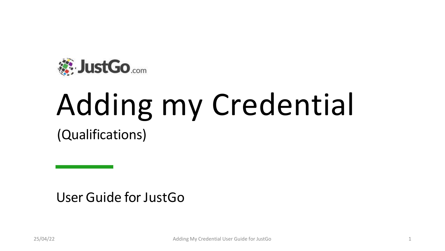

# Adding my Credential

(Qualifications)

User Guide for Just Go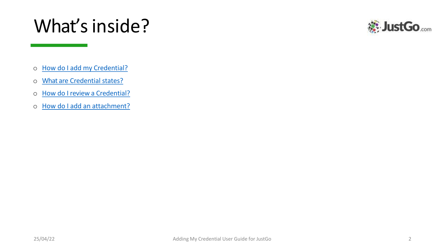# What's inside?



- o How do I add my [Credential?](https://d.docs.live.net/a92cacb86e40a85b/Desktop/Smart Rules User Guide.pptx)
- o What are [Credential](https://d.docs.live.net/a92cacb86e40a85b/Desktop/Smart Rules User Guide.pptx) states?
- o How do I review a [Credential?](https://d.docs.live.net/a92cacb86e40a85b/Desktop/Smart Rules User Guide.pptx)
- o How do I add an [attachment?](https://d.docs.live.net/a92cacb86e40a85b/Desktop/Smart Rules User Guide.pptx)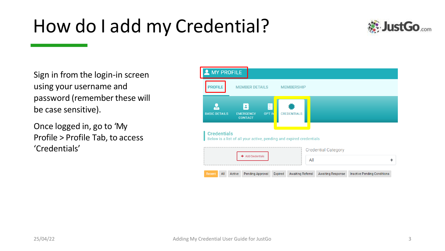# How do I add my Credential?



Sign in from the login-in screen using your username and password (remember these will be case sensitive).

Once logged in, go to ʻMy Profile > Profile Tab, to access ʻCredentials'

| <b>MY PROFILE</b>                                                                         |                                                                                                       |
|-------------------------------------------------------------------------------------------|-------------------------------------------------------------------------------------------------------|
| <b>PROFILE</b><br><b>MEMBER DETAILS</b>                                                   | <b>MEMBERSHIP</b>                                                                                     |
| <b>BASIC DETAILS</b><br><b>EMERGENCY</b><br><b>CONTACT</b>                                | 囩<br><b>OPT IN</b><br><b>CREDENTIALS</b>                                                              |
| <b>Credentials</b><br>Below is a list of all your active, pending and expired credentials |                                                                                                       |
| <b>Add Credentials</b>                                                                    | <b>Credential Category</b><br>All                                                                     |
| <b>Pending Approval</b><br>Recent<br>All<br>Active                                        | <b>Awaiting Referral</b><br><b>Inactive Pending Conditions</b><br><b>Awaiting Response</b><br>Expired |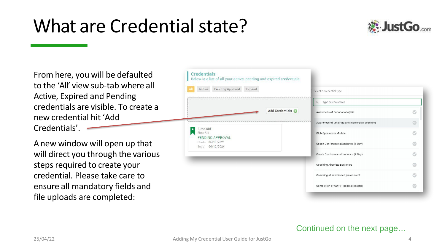# What are Credential state?



From here, you will be defaulted to the ʻAll' view sub-tab where all Active, Expired and Pending credentials are visible. To create a new credential hit ʻAdd Credentials'.

Anew window will open up that will direct you through the various steps required to create your credential. Please take care to ensure all mandatory fields and file uploads are completed:

| Pending Approval<br>Expired<br>Active             | Select a credential type                          |   |
|---------------------------------------------------|---------------------------------------------------|---|
|                                                   | $\Omega$<br>Type here to search                   |   |
|                                                   | Add Credentials<br>Awareness of notional analysis |   |
|                                                   | Awareness of umpiring and match-play coaching     | C |
| <b>First Aid</b><br>First Aid<br>PENDING APPROVAL | Club Specialism Module                            |   |
| Starts 06/10/2021<br>06/10/2024<br>Ends           | Coach Conference attendance (1 Day)               |   |
|                                                   | Coach Conference attendance (2 Day)               |   |
|                                                   | Coaching Absolute Beginners                       |   |
|                                                   | Coaching at sanctioned junior event               |   |

#### Continued on the next page…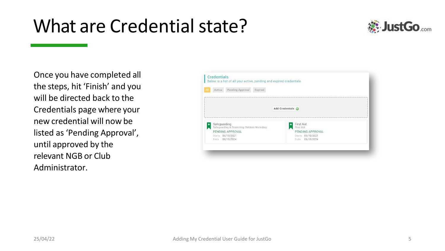# What are Credential state?



Once you have completed all the steps, hit ʻFinish' and you will be directed back to the Credentials page where your new credential will now be listed as ʻPending Approval', until approved by the relevant NGB or Club Administrator.

| Active       | Pending Approval                            | Expired |                               |  |
|--------------|---------------------------------------------|---------|-------------------------------|--|
|              |                                             |         |                               |  |
|              |                                             |         | Add Credentials               |  |
|              |                                             |         |                               |  |
|              |                                             |         |                               |  |
| Safeguarding | Safeguarding & Protecting Children Workshop |         | <b>First Aid</b><br>First Aid |  |
|              | PENDING APPROVAL                            |         | PENDING APPROVAL              |  |
|              | Starts 06/10/2021                           |         | Starts 06/10/2021             |  |
|              | Ends 06/10/2024                             |         | 06/10/2024<br>Ends            |  |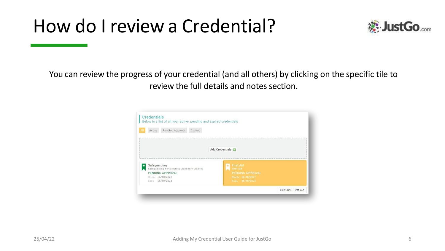### How do I review a Credential?



You can review the progress of your credential (and all others) by clicking on the specific tile to review the full details and notes section.